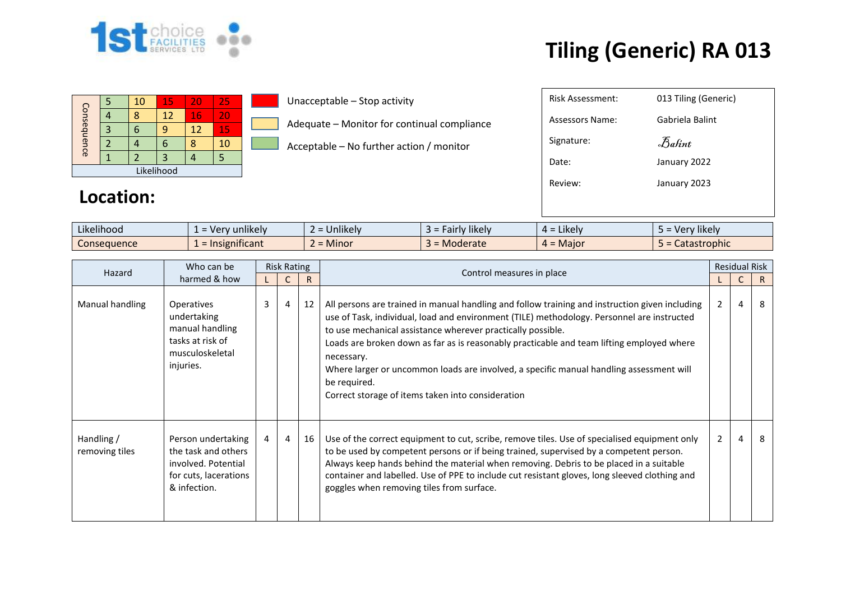

| Consequence |  | 10 | 15 | 20 | 25 |  |  |  |  |  |
|-------------|--|----|----|----|----|--|--|--|--|--|
|             |  |    | 12 | 16 | 20 |  |  |  |  |  |
|             |  |    |    | 12 | 15 |  |  |  |  |  |
|             |  |    |    |    | 10 |  |  |  |  |  |
|             |  |    |    |    |    |  |  |  |  |  |
| Likelihood  |  |    |    |    |    |  |  |  |  |  |

#### Unacceptable – Stop activity

- Adequate Monitor for continual compliance
- Acceptable No further action / monitor

| <b>Risk Assessment:</b> | 013 Tiling (Generic) |
|-------------------------|----------------------|
| Assessors Name:         | Gabriela Balint      |
| Signature:              | Balint               |
| Date:                   | January 2022         |
| Review:                 | January 2023         |
|                         |                      |
|                         |                      |

#### **Location:**

| Likelihood<br>$\cdots$ | v unlikely<br>. Ver            | $\cdots$<br><b>Jnlikely</b> | Fairly likely   | $\cdot$ $\cdot$ $\cdot$<br>$4 =$ Likely | $\cdots$<br><sup>,</sup> likelv<br>- ver 1<br>-- |
|------------------------|--------------------------------|-----------------------------|-----------------|-----------------------------------------|--------------------------------------------------|
| Consequence            | .<br>$\lambda =$ Insignificant | <b>Minor</b><br>$\sim$      | <b>Moderate</b> | $4 =$ Maior                             | Catastrophic                                     |

| Hazard                       | Who can be                                                                                                | <b>Risk Rating</b> |                |    |                                                                                                                                                                                                                                                                                                                                                                                                                                                                                                                                        |                | <b>Residual Risk</b> |   |
|------------------------------|-----------------------------------------------------------------------------------------------------------|--------------------|----------------|----|----------------------------------------------------------------------------------------------------------------------------------------------------------------------------------------------------------------------------------------------------------------------------------------------------------------------------------------------------------------------------------------------------------------------------------------------------------------------------------------------------------------------------------------|----------------|----------------------|---|
|                              | harmed & how                                                                                              |                    |                | R  | Control measures in place                                                                                                                                                                                                                                                                                                                                                                                                                                                                                                              |                |                      | R |
| Manual handling              | <b>Operatives</b><br>undertaking<br>manual handling<br>tasks at risk of<br>musculoskeletal<br>injuries.   | $\mathbf{3}$       | $\overline{4}$ | 12 | All persons are trained in manual handling and follow training and instruction given including<br>use of Task, individual, load and environment (TILE) methodology. Personnel are instructed<br>to use mechanical assistance wherever practically possible.<br>Loads are broken down as far as is reasonably practicable and team lifting employed where<br>necessary.<br>Where larger or uncommon loads are involved, a specific manual handling assessment will<br>be required.<br>Correct storage of items taken into consideration | 2              | 4                    | 8 |
| Handling /<br>removing tiles | Person undertaking<br>the task and others<br>involved. Potential<br>for cuts, lacerations<br>& infection. | 4                  | 4              | 16 | Use of the correct equipment to cut, scribe, remove tiles. Use of specialised equipment only<br>to be used by competent persons or if being trained, supervised by a competent person.<br>Always keep hands behind the material when removing. Debris to be placed in a suitable<br>container and labelled. Use of PPE to include cut resistant gloves, long sleeved clothing and<br>goggles when removing tiles from surface.                                                                                                         | $\overline{2}$ | 4                    | 8 |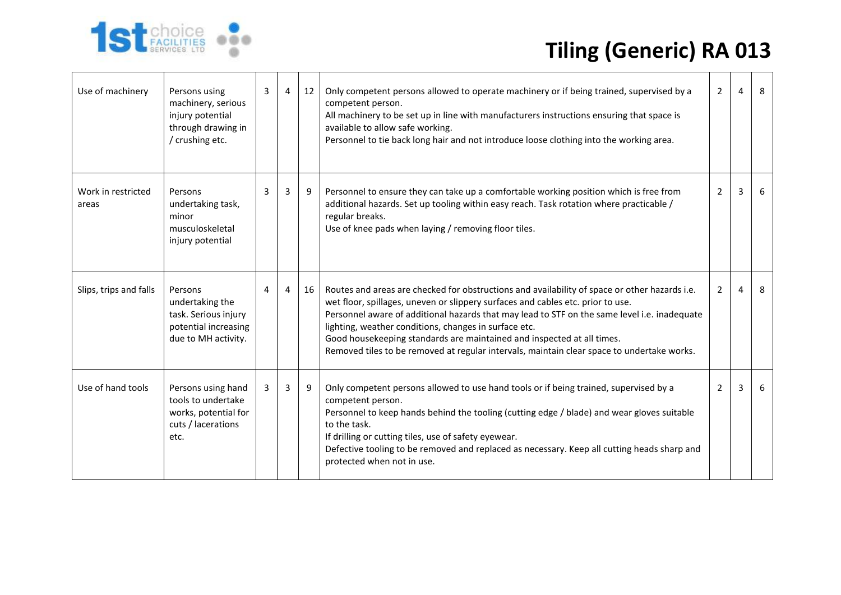| Use of machinery            | Persons using<br>machinery, serious<br>injury potential<br>through drawing in<br>/ crushing etc.  | 3 | 4              | 12 | Only competent persons allowed to operate machinery or if being trained, supervised by a<br>competent person.<br>All machinery to be set up in line with manufacturers instructions ensuring that space is<br>available to allow safe working.<br>Personnel to tie back long hair and not introduce loose clothing into the working area.                                                                                                                                                                         | $\overline{2}$ | 4 | 8  |
|-----------------------------|---------------------------------------------------------------------------------------------------|---|----------------|----|-------------------------------------------------------------------------------------------------------------------------------------------------------------------------------------------------------------------------------------------------------------------------------------------------------------------------------------------------------------------------------------------------------------------------------------------------------------------------------------------------------------------|----------------|---|----|
| Work in restricted<br>areas | Persons<br>undertaking task,<br>minor<br>musculoskeletal<br>injury potential                      | 3 | $\overline{3}$ | 9  | Personnel to ensure they can take up a comfortable working position which is free from<br>additional hazards. Set up tooling within easy reach. Task rotation where practicable /<br>regular breaks.<br>Use of knee pads when laying / removing floor tiles.                                                                                                                                                                                                                                                      | $\overline{2}$ | 3 | -6 |
| Slips, trips and falls      | Persons<br>undertaking the<br>task. Serious injury<br>potential increasing<br>due to MH activity. | 4 | 4              | 16 | Routes and areas are checked for obstructions and availability of space or other hazards i.e.<br>wet floor, spillages, uneven or slippery surfaces and cables etc. prior to use.<br>Personnel aware of additional hazards that may lead to STF on the same level i.e. inadequate<br>lighting, weather conditions, changes in surface etc.<br>Good housekeeping standards are maintained and inspected at all times.<br>Removed tiles to be removed at regular intervals, maintain clear space to undertake works. | $\overline{2}$ | 4 | 8  |
| Use of hand tools           | Persons using hand<br>tools to undertake<br>works, potential for<br>cuts / lacerations<br>etc.    | 3 | 3              | 9  | Only competent persons allowed to use hand tools or if being trained, supervised by a<br>competent person.<br>Personnel to keep hands behind the tooling (cutting edge / blade) and wear gloves suitable<br>to the task.<br>If drilling or cutting tiles, use of safety eyewear.<br>Defective tooling to be removed and replaced as necessary. Keep all cutting heads sharp and<br>protected when not in use.                                                                                                     | $\overline{2}$ | 3 | -6 |

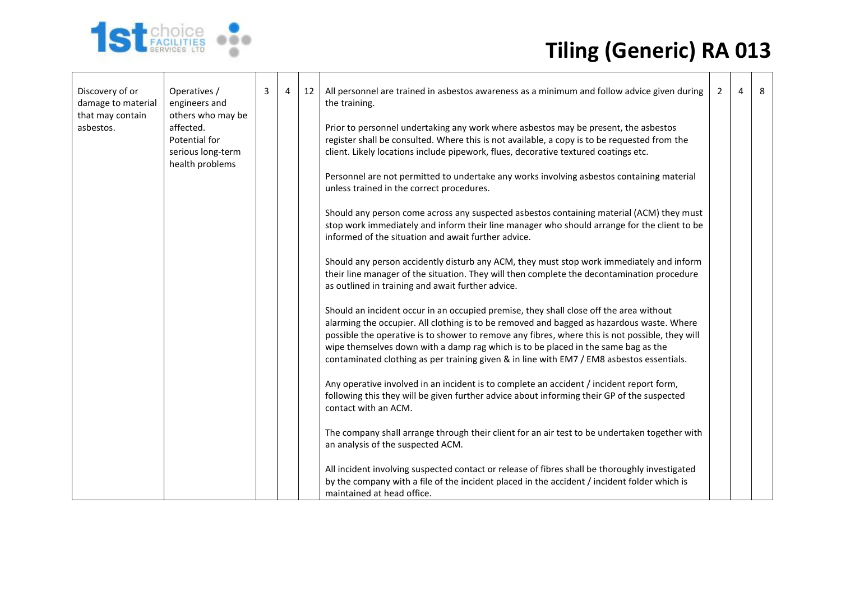| Discovery of or<br>damage to material<br>that may contain | Operatives /<br>engineers and<br>others who may be | 3 | 4 | 12 | All personnel are trained in asbestos awareness as a minimum and follow advice given during<br>the training.                                                                                                                                                                                                                                                                                                                                                             | 2 | 4 | 8 |
|-----------------------------------------------------------|----------------------------------------------------|---|---|----|--------------------------------------------------------------------------------------------------------------------------------------------------------------------------------------------------------------------------------------------------------------------------------------------------------------------------------------------------------------------------------------------------------------------------------------------------------------------------|---|---|---|
| asbestos.                                                 | affected.<br>Potential for<br>serious long-term    |   |   |    | Prior to personnel undertaking any work where asbestos may be present, the asbestos<br>register shall be consulted. Where this is not available, a copy is to be requested from the<br>client. Likely locations include pipework, flues, decorative textured coatings etc.                                                                                                                                                                                               |   |   |   |
|                                                           | health problems                                    |   |   |    | Personnel are not permitted to undertake any works involving asbestos containing material<br>unless trained in the correct procedures.                                                                                                                                                                                                                                                                                                                                   |   |   |   |
|                                                           |                                                    |   |   |    | Should any person come across any suspected asbestos containing material (ACM) they must<br>stop work immediately and inform their line manager who should arrange for the client to be<br>informed of the situation and await further advice.                                                                                                                                                                                                                           |   |   |   |
|                                                           |                                                    |   |   |    | Should any person accidently disturb any ACM, they must stop work immediately and inform<br>their line manager of the situation. They will then complete the decontamination procedure<br>as outlined in training and await further advice.                                                                                                                                                                                                                              |   |   |   |
|                                                           |                                                    |   |   |    | Should an incident occur in an occupied premise, they shall close off the area without<br>alarming the occupier. All clothing is to be removed and bagged as hazardous waste. Where<br>possible the operative is to shower to remove any fibres, where this is not possible, they will<br>wipe themselves down with a damp rag which is to be placed in the same bag as the<br>contaminated clothing as per training given & in line with EM7 / EM8 asbestos essentials. |   |   |   |
|                                                           |                                                    |   |   |    | Any operative involved in an incident is to complete an accident / incident report form,<br>following this they will be given further advice about informing their GP of the suspected<br>contact with an ACM.                                                                                                                                                                                                                                                           |   |   |   |
|                                                           |                                                    |   |   |    | The company shall arrange through their client for an air test to be undertaken together with<br>an analysis of the suspected ACM.                                                                                                                                                                                                                                                                                                                                       |   |   |   |
|                                                           |                                                    |   |   |    | All incident involving suspected contact or release of fibres shall be thoroughly investigated<br>by the company with a file of the incident placed in the accident / incident folder which is<br>maintained at head office.                                                                                                                                                                                                                                             |   |   |   |